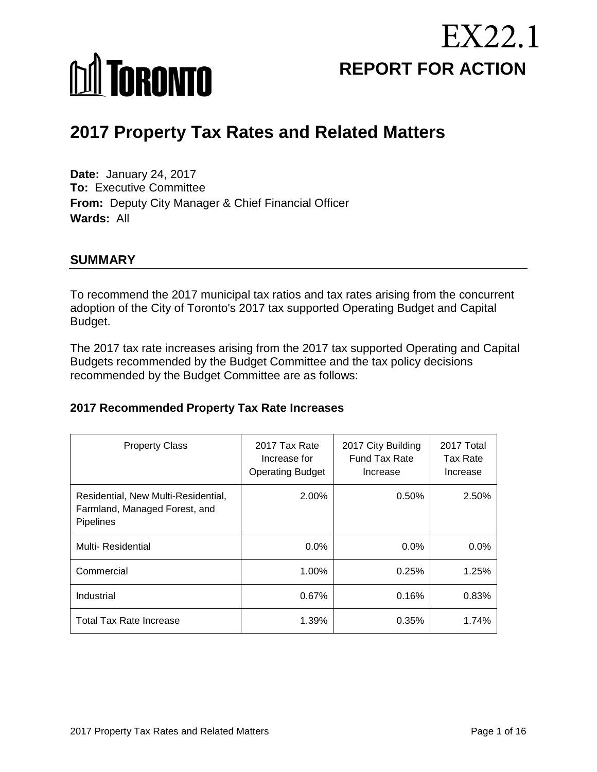



# **2017 Property Tax Rates and Related Matters**

**Date:** January 24, 2017 **To:** Executive Committee **From:** Deputy City Manager & Chief Financial Officer **Wards:** All

#### **SUMMARY**

To recommend the 2017 municipal tax ratios and tax rates arising from the concurrent adoption of the City of Toronto's 2017 tax supported Operating Budget and Capital Budget.

The 2017 tax rate increases arising from the 2017 tax supported Operating and Capital Budgets recommended by the Budget Committee and the tax policy decisions recommended by the Budget Committee are as follows:

#### **2017 Recommended Property Tax Rate Increases**

| <b>Property Class</b>                                                                    | 2017 Tax Rate<br>Increase for<br><b>Operating Budget</b> | 2017 City Building<br><b>Fund Tax Rate</b><br>Increase | 2017 Total<br><b>Tax Rate</b><br>Increase |
|------------------------------------------------------------------------------------------|----------------------------------------------------------|--------------------------------------------------------|-------------------------------------------|
| Residential, New Multi-Residential,<br>Farmland, Managed Forest, and<br><b>Pipelines</b> | 2.00%                                                    | 0.50%                                                  | 2.50%                                     |
| Multi-Residential                                                                        | $0.0\%$                                                  | $0.0\%$                                                | $0.0\%$                                   |
| Commercial                                                                               | 1.00%                                                    | 0.25%                                                  | 1.25%                                     |
| Industrial                                                                               | 0.67%                                                    | 0.16%                                                  | 0.83%                                     |
| <b>Total Tax Rate Increase</b>                                                           | 1.39%                                                    | 0.35%                                                  | 1.74%                                     |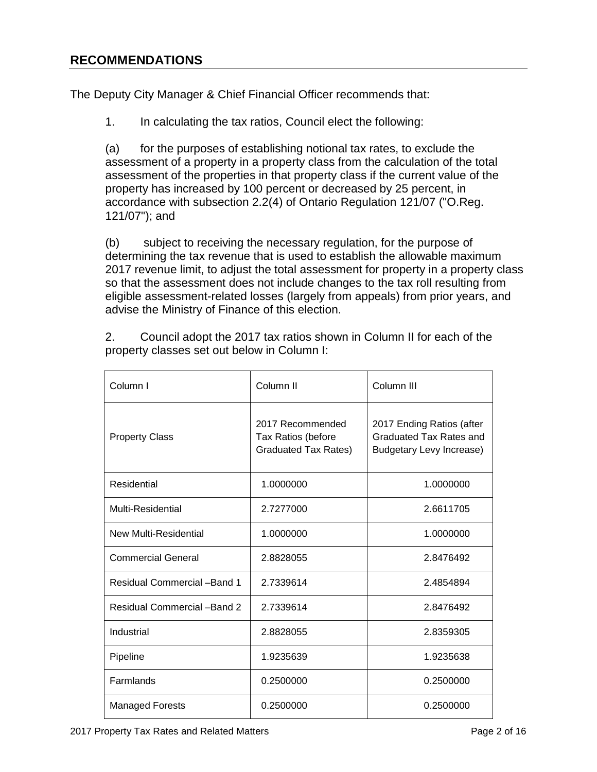The Deputy City Manager & Chief Financial Officer recommends that:

1. In calculating the tax ratios, Council elect the following:

(a) for the purposes of establishing notional tax rates, to exclude the assessment of a property in a property class from the calculation of the total assessment of the properties in that property class if the current value of the property has increased by 100 percent or decreased by 25 percent, in accordance with subsection 2.2(4) of Ontario Regulation 121/07 ("O.Reg. 121/07"); and

(b) subject to receiving the necessary regulation, for the purpose of determining the tax revenue that is used to establish the allowable maximum 2017 revenue limit, to adjust the total assessment for property in a property class so that the assessment does not include changes to the tax roll resulting from eligible assessment-related losses (largely from appeals) from prior years, and advise the Ministry of Finance of this election.

2. Council adopt the 2017 tax ratios shown in Column II for each of the property classes set out below in Column I:

| Column I                     | Column II                                                             | Column III                                                                       |
|------------------------------|-----------------------------------------------------------------------|----------------------------------------------------------------------------------|
| <b>Property Class</b>        | 2017 Recommended<br>Tax Ratios (before<br><b>Graduated Tax Rates)</b> | 2017 Ending Ratios (after<br>Graduated Tax Rates and<br>Budgetary Levy Increase) |
| Residential                  | 1.0000000                                                             | 1.0000000                                                                        |
| Multi-Residential            | 2.7277000                                                             | 2.6611705                                                                        |
| New Multi-Residential        | 1.0000000                                                             | 1.0000000                                                                        |
| <b>Commercial General</b>    | 2.8828055                                                             | 2.8476492                                                                        |
| Residual Commercial - Band 1 | 2.7339614                                                             | 2.4854894                                                                        |
| Residual Commercial - Band 2 | 2.7339614                                                             | 2.8476492                                                                        |
| Industrial                   | 2.8828055                                                             | 2.8359305                                                                        |
| Pipeline                     | 1.9235639                                                             | 1.9235638                                                                        |
| Farmlands                    | 0.2500000                                                             | 0.2500000                                                                        |
| <b>Managed Forests</b>       | 0.2500000                                                             | 0.2500000                                                                        |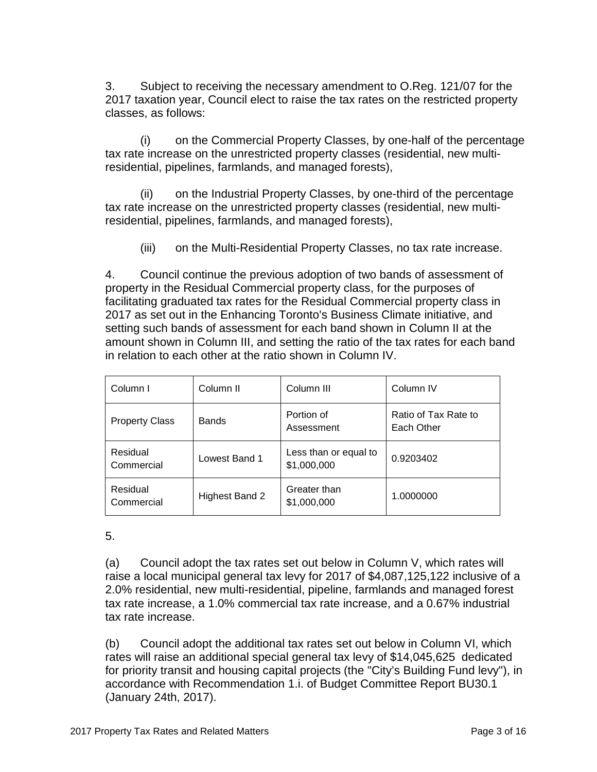3. Subject to receiving the necessary amendment to O.Reg. 121/07 for the 2017 taxation year, Council elect to raise the tax rates on the restricted property classes, as follows:

(i) on the Commercial Property Classes, by one-half of the percentage tax rate increase on the unrestricted property classes (residential, new multiresidential, pipelines, farmlands, and managed forests),

(ii) on the Industrial Property Classes, by one-third of the percentage tax rate increase on the unrestricted property classes (residential, new multiresidential, pipelines, farmlands, and managed forests),

(iii) on the Multi-Residential Property Classes, no tax rate increase.

4. Council continue the previous adoption of two bands of assessment of property in the Residual Commercial property class, for the purposes of facilitating graduated tax rates for the Residual Commercial property class in 2017 as set out in the Enhancing Toronto's Business Climate initiative, and setting such bands of assessment for each band shown in Column II at the amount shown in Column III, and setting the ratio of the tax rates for each band in relation to each other at the ratio shown in Column IV.

| Column I               | Column <sub>II</sub> | Column III                           | Column <sub>IV</sub>               |
|------------------------|----------------------|--------------------------------------|------------------------------------|
| <b>Property Class</b>  | <b>Bands</b>         | Portion of<br>Assessment             | Ratio of Tax Rate to<br>Each Other |
| Residual<br>Commercial | Lowest Band 1        | Less than or equal to<br>\$1,000,000 | 0.9203402                          |
| Residual<br>Commercial | Highest Band 2       | Greater than<br>\$1,000,000          | 1.0000000                          |

#### 5.

(a) Council adopt the tax rates set out below in Column V, which rates will raise a local municipal general tax levy for 2017 of \$4,087,125,122 inclusive of a 2.0% residential, new multi-residential, pipeline, farmlands and managed forest tax rate increase, a 1.0% commercial tax rate increase, and a 0.67% industrial tax rate increase.

(b) Council adopt the additional tax rates set out below in Column VI, which rates will raise an additional special general tax levy of \$14,045,625 dedicated for priority transit and housing capital projects (the "City's Building Fund levy"), in accordance with Recommendation 1.i. of Budget Committee Report BU30.1 (January 24th, 2017).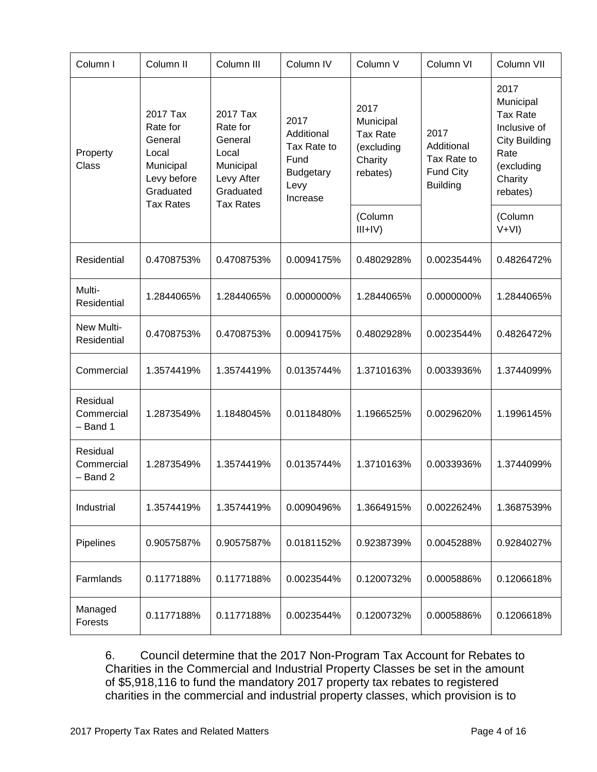| Column I                             | Column <sub>II</sub>                                                                                  | Column III                                                                                           | Column <sub>IV</sub>                                                              | Column V                                                                  | Column VI                                                         | Column VII                                                                                                                |
|--------------------------------------|-------------------------------------------------------------------------------------------------------|------------------------------------------------------------------------------------------------------|-----------------------------------------------------------------------------------|---------------------------------------------------------------------------|-------------------------------------------------------------------|---------------------------------------------------------------------------------------------------------------------------|
| Property<br>Class                    | 2017 Tax<br>Rate for<br>General<br>Local<br>Municipal<br>Levy before<br>Graduated<br><b>Tax Rates</b> | 2017 Tax<br>Rate for<br>General<br>Local<br>Municipal<br>Levy After<br>Graduated<br><b>Tax Rates</b> | 2017<br>Additional<br>Tax Rate to<br>Fund<br><b>Budgetary</b><br>Levy<br>Increase | 2017<br>Municipal<br><b>Tax Rate</b><br>(excluding<br>Charity<br>rebates) | 2017<br>Additional<br>Tax Rate to<br>Fund City<br><b>Building</b> | 2017<br>Municipal<br><b>Tax Rate</b><br>Inclusive of<br><b>City Building</b><br>Rate<br>(excluding<br>Charity<br>rebates) |
|                                      |                                                                                                       |                                                                                                      |                                                                                   | (Column<br>$III+IV)$                                                      |                                                                   | (Column<br>$V+VI)$                                                                                                        |
| Residential                          | 0.4708753%                                                                                            | 0.4708753%                                                                                           | 0.0094175%                                                                        | 0.4802928%                                                                | 0.0023544%                                                        | 0.4826472%                                                                                                                |
| Multi-<br>Residential                | 1.2844065%                                                                                            | 1.2844065%                                                                                           | 0.0000000%                                                                        | 1.2844065%                                                                | 0.0000000%                                                        | 1.2844065%                                                                                                                |
| New Multi-<br>Residential            | 0.4708753%                                                                                            | 0.4708753%                                                                                           | 0.0094175%                                                                        | 0.4802928%                                                                | 0.0023544%                                                        | 0.4826472%                                                                                                                |
| Commercial                           | 1.3574419%                                                                                            | 1.3574419%                                                                                           | 0.0135744%                                                                        | 1.3710163%                                                                | 0.0033936%                                                        | 1.3744099%                                                                                                                |
| Residual<br>Commercial<br>$-$ Band 1 | 1.2873549%                                                                                            | 1.1848045%                                                                                           | 0.0118480%                                                                        | 1.1966525%                                                                | 0.0029620%                                                        | 1.1996145%                                                                                                                |
| Residual<br>Commercial<br>$-$ Band 2 | 1.2873549%                                                                                            | 1.3574419%                                                                                           | 0.0135744%                                                                        | 1.3710163%                                                                | 0.0033936%                                                        | 1.3744099%                                                                                                                |
| Industrial                           | 1.3574419%                                                                                            | 1.3574419%                                                                                           | 0.0090496%                                                                        | 1.3664915%                                                                | 0.0022624%                                                        | 1.3687539%                                                                                                                |
| Pipelines                            | 0.9057587%                                                                                            | 0.9057587%                                                                                           | 0.0181152%                                                                        | 0.9238739%                                                                | 0.0045288%                                                        | 0.9284027%                                                                                                                |
| Farmlands                            | 0.1177188%                                                                                            | 0.1177188%                                                                                           | 0.0023544%                                                                        | 0.1200732%                                                                | 0.0005886%                                                        | 0.1206618%                                                                                                                |
| Managed<br>Forests                   | 0.1177188%                                                                                            | 0.1177188%                                                                                           | 0.0023544%                                                                        | 0.1200732%                                                                | 0.0005886%                                                        | 0.1206618%                                                                                                                |

6. Council determine that the 2017 Non-Program Tax Account for Rebates to Charities in the Commercial and Industrial Property Classes be set in the amount of \$5,918,116 to fund the mandatory 2017 property tax rebates to registered charities in the commercial and industrial property classes, which provision is to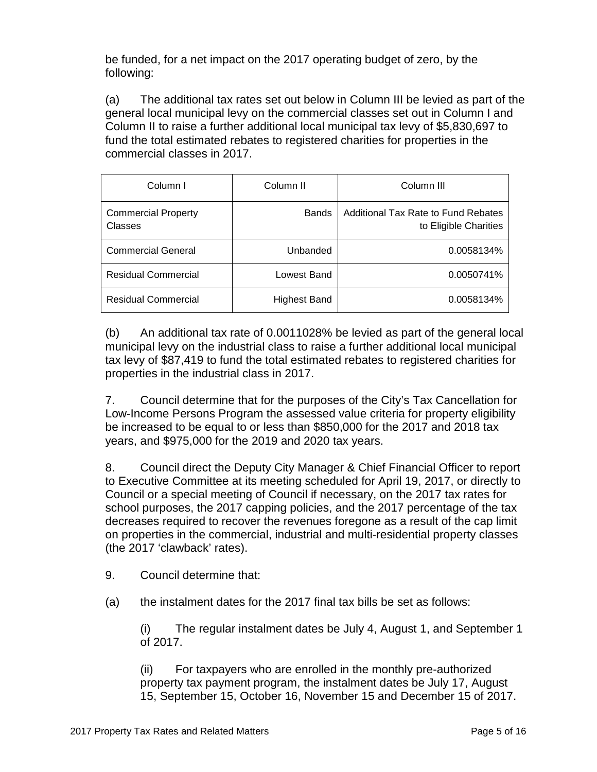be funded, for a net impact on the 2017 operating budget of zero, by the following:

(a) The additional tax rates set out below in Column III be levied as part of the general local municipal levy on the commercial classes set out in Column I and Column II to raise a further additional local municipal tax levy of \$5,830,697 to fund the total estimated rebates to registered charities for properties in the commercial classes in 2017.

| Column I                              | Column II    | Column III                                                   |
|---------------------------------------|--------------|--------------------------------------------------------------|
| <b>Commercial Property</b><br>Classes | <b>Bands</b> | Additional Tax Rate to Fund Rebates<br>to Eligible Charities |
| <b>Commercial General</b>             | Unbanded     | 0.0058134%                                                   |
| <b>Residual Commercial</b>            | Lowest Band  | 0.0050741%                                                   |
| <b>Residual Commercial</b>            | Highest Band | 0.0058134%                                                   |

(b) An additional tax rate of 0.0011028% be levied as part of the general local municipal levy on the industrial class to raise a further additional local municipal tax levy of \$87,419 to fund the total estimated rebates to registered charities for properties in the industrial class in 2017.

7. Council determine that for the purposes of the City's Tax Cancellation for Low-Income Persons Program the assessed value criteria for property eligibility be increased to be equal to or less than \$850,000 for the 2017 and 2018 tax years, and \$975,000 for the 2019 and 2020 tax years.

8. Council direct the Deputy City Manager & Chief Financial Officer to report to Executive Committee at its meeting scheduled for April 19, 2017, or directly to Council or a special meeting of Council if necessary, on the 2017 tax rates for school purposes, the 2017 capping policies, and the 2017 percentage of the tax decreases required to recover the revenues foregone as a result of the cap limit on properties in the commercial, industrial and multi-residential property classes (the 2017 'clawback' rates).

9. Council determine that:

(a) the instalment dates for the 2017 final tax bills be set as follows:

(i) The regular instalment dates be July 4, August 1, and September 1 of 2017.

(ii) For taxpayers who are enrolled in the monthly pre-authorized property tax payment program, the instalment dates be July 17, August 15, September 15, October 16, November 15 and December 15 of 2017.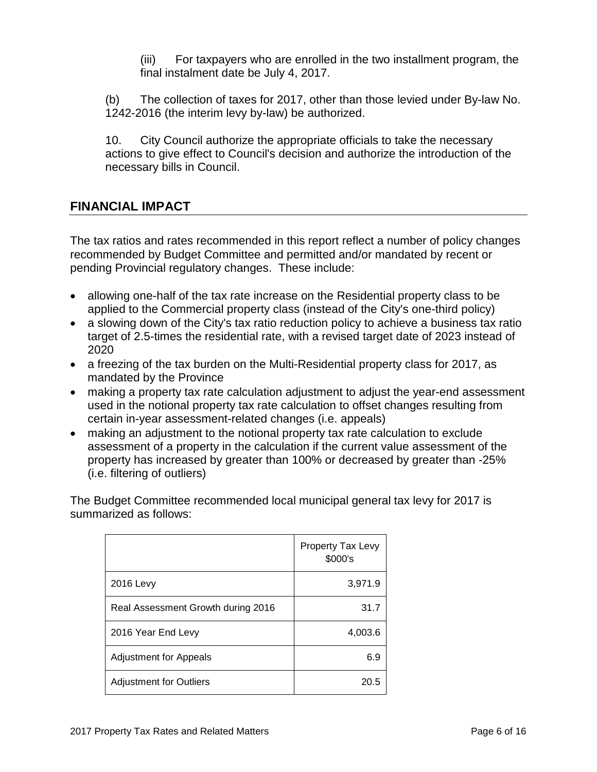(iii) For taxpayers who are enrolled in the two installment program, the final instalment date be July 4, 2017.

(b) The collection of taxes for 2017, other than those levied under By-law No. 1242-2016 (the interim levy by-law) be authorized.

10. City Council authorize the appropriate officials to take the necessary actions to give effect to Council's decision and authorize the introduction of the necessary bills in Council.

## **FINANCIAL IMPACT**

The tax ratios and rates recommended in this report reflect a number of policy changes recommended by Budget Committee and permitted and/or mandated by recent or pending Provincial regulatory changes. These include:

- allowing one-half of the tax rate increase on the Residential property class to be applied to the Commercial property class (instead of the City's one-third policy)
- a slowing down of the City's tax ratio reduction policy to achieve a business tax ratio target of 2.5-times the residential rate, with a revised target date of 2023 instead of 2020
- a freezing of the tax burden on the Multi-Residential property class for 2017, as mandated by the Province
- making a property tax rate calculation adjustment to adjust the year-end assessment used in the notional property tax rate calculation to offset changes resulting from certain in-year assessment-related changes (i.e. appeals)
- making an adjustment to the notional property tax rate calculation to exclude assessment of a property in the calculation if the current value assessment of the property has increased by greater than 100% or decreased by greater than -25% (i.e. filtering of outliers)

The Budget Committee recommended local municipal general tax levy for 2017 is summarized as follows:

|                                    | Property Tax Levy<br>\$000's |
|------------------------------------|------------------------------|
| <b>2016 Levy</b>                   | 3,971.9                      |
| Real Assessment Growth during 2016 | 31.7                         |
| 2016 Year End Levy                 | 4,003.6                      |
| <b>Adjustment for Appeals</b>      | 6.9                          |
| <b>Adjustment for Outliers</b>     | 20.5                         |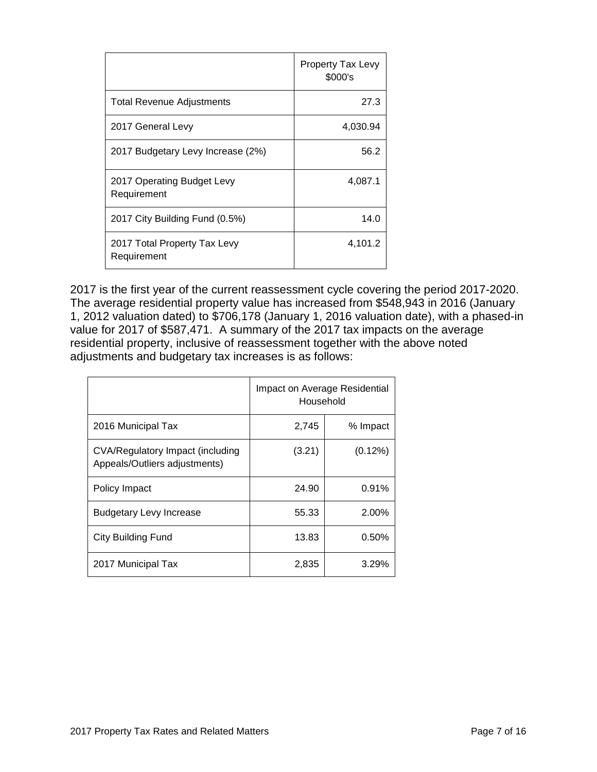|                                             | Property Tax Levy<br>\$000's |
|---------------------------------------------|------------------------------|
| <b>Total Revenue Adjustments</b>            | 27.3                         |
| 2017 General Levy                           | 4,030.94                     |
| 2017 Budgetary Levy Increase (2%)           | 56.2                         |
| 2017 Operating Budget Levy<br>Requirement   | 4,087.1                      |
| 2017 City Building Fund (0.5%)              | 14.0                         |
| 2017 Total Property Tax Levy<br>Requirement | 4,101.2                      |

2017 is the first year of the current reassessment cycle covering the period 2017-2020. The average residential property value has increased from \$548,943 in 2016 (January 1, 2012 valuation dated) to \$706,178 (January 1, 2016 valuation date), with a phased-in value for 2017 of \$587,471. A summary of the 2017 tax impacts on the average residential property, inclusive of reassessment together with the above noted adjustments and budgetary tax increases is as follows:

|                                                                   | Impact on Average Residential<br>Household |            |  |
|-------------------------------------------------------------------|--------------------------------------------|------------|--|
| 2016 Municipal Tax                                                | 2.745                                      | % Impact   |  |
| CVA/Regulatory Impact (including<br>Appeals/Outliers adjustments) | (3.21)                                     | $(0.12\%)$ |  |
| Policy Impact                                                     | 24.90                                      | 0.91%      |  |
| Budgetary Levy Increase                                           | 55.33                                      | 2.00%      |  |
| City Building Fund                                                | 13.83                                      | 0.50%      |  |
| 2017 Municipal Tax                                                | 2,835                                      | 3.29%      |  |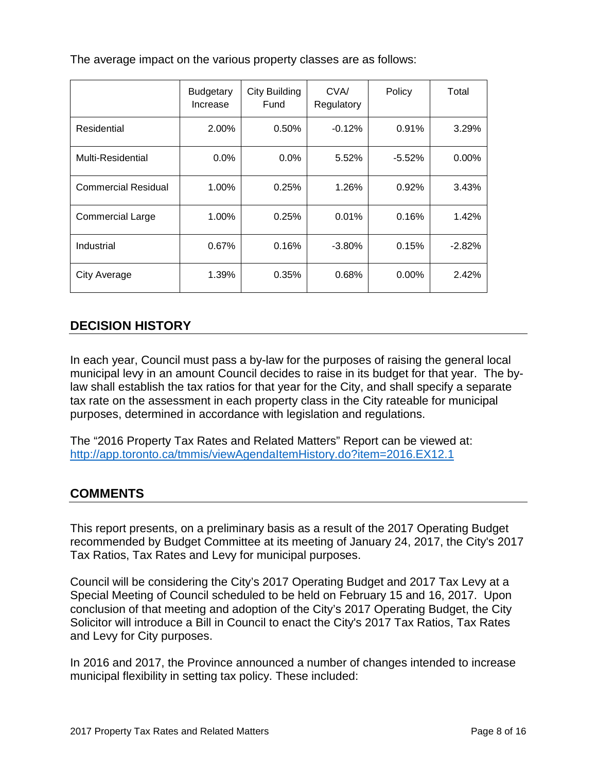The average impact on the various property classes are as follows:

|                            | <b>Budgetary</b><br>Increase | <b>City Building</b><br>Fund | CVA/<br>Regulatory | Policy   | Total    |
|----------------------------|------------------------------|------------------------------|--------------------|----------|----------|
| Residential                | 2.00%                        | 0.50%                        | $-0.12%$           | 0.91%    | 3.29%    |
| Multi-Residential          | 0.0%                         | $0.0\%$                      | 5.52%              | $-5.52%$ | $0.00\%$ |
| <b>Commercial Residual</b> | 1.00%                        | 0.25%                        | 1.26%              | 0.92%    | 3.43%    |
| <b>Commercial Large</b>    | 1.00%                        | 0.25%                        | 0.01%              | 0.16%    | 1.42%    |
| Industrial                 | 0.67%                        | 0.16%                        | $-3.80\%$          | 0.15%    | $-2.82%$ |
| City Average               | 1.39%                        | 0.35%                        | 0.68%              | 0.00%    | 2.42%    |

# **DECISION HISTORY**

In each year, Council must pass a by-law for the purposes of raising the general local municipal levy in an amount Council decides to raise in its budget for that year. The bylaw shall establish the tax ratios for that year for the City, and shall specify a separate tax rate on the assessment in each property class in the City rateable for municipal purposes, determined in accordance with legislation and regulations.

The "2016 Property Tax Rates and Related Matters" Report can be viewed at: <http://app.toronto.ca/tmmis/viewAgendaItemHistory.do?item=2016.EX12.1>

# **COMMENTS**

This report presents, on a preliminary basis as a result of the 2017 Operating Budget recommended by Budget Committee at its meeting of January 24, 2017, the City's 2017 Tax Ratios, Tax Rates and Levy for municipal purposes.

Council will be considering the City's 2017 Operating Budget and 2017 Tax Levy at a Special Meeting of Council scheduled to be held on February 15 and 16, 2017. Upon conclusion of that meeting and adoption of the City's 2017 Operating Budget, the City Solicitor will introduce a Bill in Council to enact the City's 2017 Tax Ratios, Tax Rates and Levy for City purposes.

In 2016 and 2017, the Province announced a number of changes intended to increase municipal flexibility in setting tax policy. These included: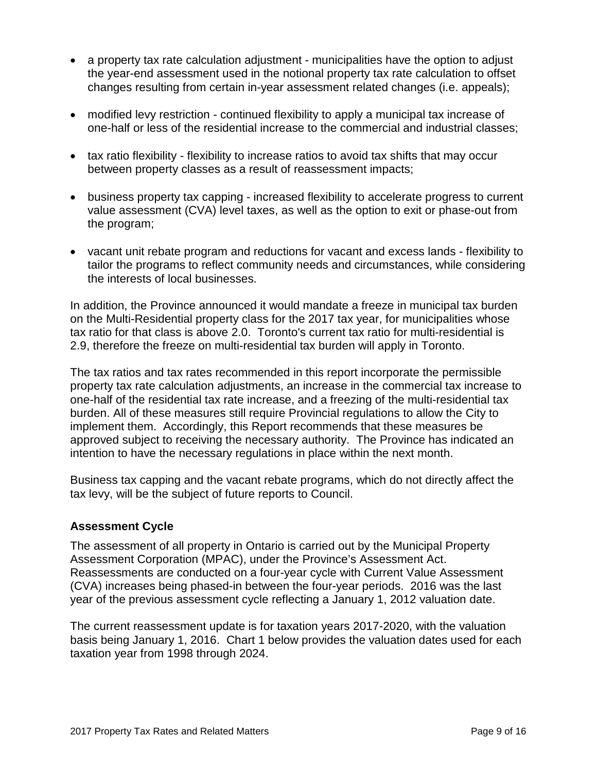- a property tax rate calculation adjustment municipalities have the option to adjust the year-end assessment used in the notional property tax rate calculation to offset changes resulting from certain in-year assessment related changes (i.e. appeals);
- modified levy restriction continued flexibility to apply a municipal tax increase of one-half or less of the residential increase to the commercial and industrial classes;
- tax ratio flexibility flexibility to increase ratios to avoid tax shifts that may occur between property classes as a result of reassessment impacts;
- business property tax capping increased flexibility to accelerate progress to current value assessment (CVA) level taxes, as well as the option to exit or phase-out from the program;
- vacant unit rebate program and reductions for vacant and excess lands flexibility to tailor the programs to reflect community needs and circumstances, while considering the interests of local businesses.

In addition, the Province announced it would mandate a freeze in municipal tax burden on the Multi-Residential property class for the 2017 tax year, for municipalities whose tax ratio for that class is above 2.0. Toronto's current tax ratio for multi-residential is 2.9, therefore the freeze on multi-residential tax burden will apply in Toronto.

The tax ratios and tax rates recommended in this report incorporate the permissible property tax rate calculation adjustments, an increase in the commercial tax increase to one-half of the residential tax rate increase, and a freezing of the multi-residential tax burden. All of these measures still require Provincial regulations to allow the City to implement them. Accordingly, this Report recommends that these measures be approved subject to receiving the necessary authority. The Province has indicated an intention to have the necessary regulations in place within the next month.

Business tax capping and the vacant rebate programs, which do not directly affect the tax levy, will be the subject of future reports to Council.

#### **Assessment Cycle**

The assessment of all property in Ontario is carried out by the Municipal Property Assessment Corporation (MPAC), under the Province's Assessment Act. Reassessments are conducted on a four-year cycle with Current Value Assessment (CVA) increases being phased-in between the four-year periods. 2016 was the last year of the previous assessment cycle reflecting a January 1, 2012 valuation date.

The current reassessment update is for taxation years 2017-2020, with the valuation basis being January 1, 2016. Chart 1 below provides the valuation dates used for each taxation year from 1998 through 2024.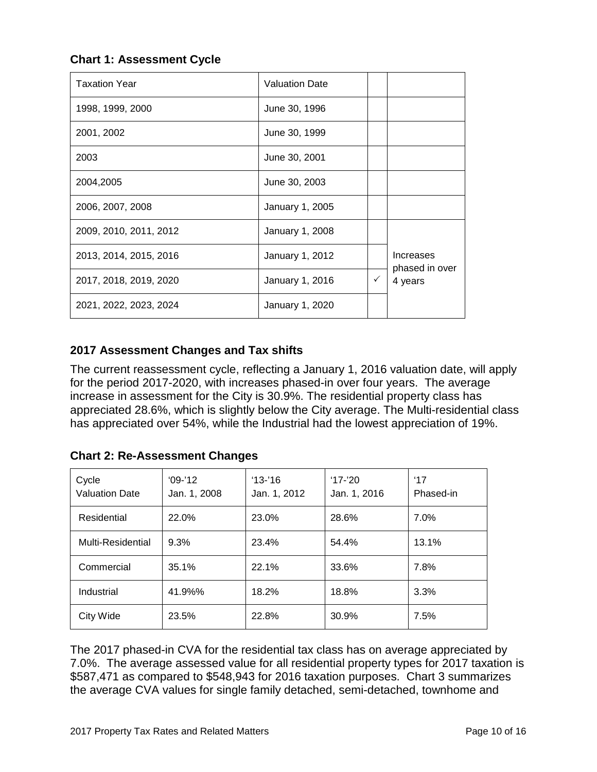**Chart 1: Assessment Cycle**

| <b>Taxation Year</b>   | <b>Valuation Date</b>  |              |                             |
|------------------------|------------------------|--------------|-----------------------------|
| 1998, 1999, 2000       | June 30, 1996          |              |                             |
| 2001, 2002             | June 30, 1999          |              |                             |
| 2003                   | June 30, 2001          |              |                             |
| 2004,2005              | June 30, 2003          |              |                             |
| 2006, 2007, 2008       | January 1, 2005        |              |                             |
| 2009, 2010, 2011, 2012 | <b>January 1, 2008</b> |              |                             |
| 2013, 2014, 2015, 2016 | January 1, 2012        |              | Increases<br>phased in over |
| 2017, 2018, 2019, 2020 | January 1, 2016        | $\checkmark$ | 4 years                     |
| 2021, 2022, 2023, 2024 | January 1, 2020        |              |                             |

# **2017 Assessment Changes and Tax shifts**

The current reassessment cycle, reflecting a January 1, 2016 valuation date, will apply for the period 2017-2020, with increases phased-in over four years. The average increase in assessment for the City is 30.9%. The residential property class has appreciated 28.6%, which is slightly below the City average. The Multi-residential class has appreciated over 54%, while the Industrial had the lowest appreciation of 19%.

**Chart 2: Re-Assessment Changes** 

| Cycle<br><b>Valuation Date</b> | $'09-'12$<br>Jan. 1, 2008 | $13 - 16$<br>Jan. 1, 2012 | $'17 - 20'$<br>Jan. 1, 2016 | $^{\prime}17$<br>Phased-in |
|--------------------------------|---------------------------|---------------------------|-----------------------------|----------------------------|
| Residential                    | 22.0%                     | 23.0%                     | 28.6%                       | $7.0\%$                    |
| Multi-Residential              | 9.3%                      | 23.4%                     | 54.4%                       | 13.1%                      |
| Commercial                     | 35.1%                     | 22.1%                     | 33.6%                       | 7.8%                       |
| Industrial                     | 41.9%%                    | 18.2%                     | 18.8%                       | 3.3%                       |
| City Wide                      | 23.5%                     | 22.8%                     | 30.9%                       | 7.5%                       |

The 2017 phased-in CVA for the residential tax class has on average appreciated by 7.0%. The average assessed value for all residential property types for 2017 taxation is \$587,471 as compared to \$548,943 for 2016 taxation purposes. Chart 3 summarizes the average CVA values for single family detached, semi-detached, townhome and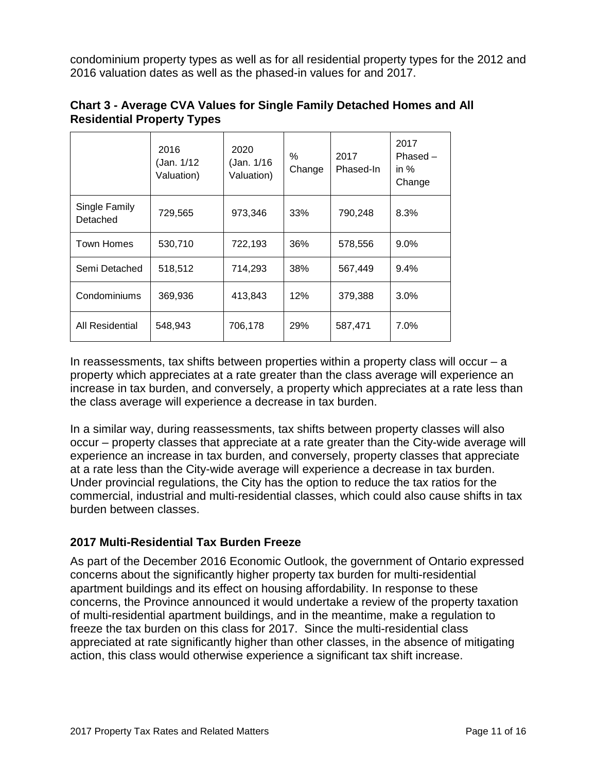condominium property types as well as for all residential property types for the 2012 and 2016 valuation dates as well as the phased-in values for and 2017.

|                           | 2016<br>(Jan. 1/12<br>Valuation) | 2020<br>(Jan. 1/16<br>Valuation) | $\%$<br>Change | 2017<br>Phased-In | 2017<br>$Phased -$<br>in $%$<br>Change |
|---------------------------|----------------------------------|----------------------------------|----------------|-------------------|----------------------------------------|
| Single Family<br>Detached | 729,565                          | 973,346                          | 33%            | 790,248           | 8.3%                                   |
| <b>Town Homes</b>         | 530,710                          | 722,193                          | 36%            | 578,556           | $9.0\%$                                |
| Semi Detached             | 518,512                          | 714,293                          | 38%            | 567,449           | 9.4%                                   |
| Condominiums              | 369,936                          | 413,843                          | 12%            | 379,388           | $3.0\%$                                |
| All Residential           | 548,943                          | 706,178                          | 29%            | 587,471           | 7.0%                                   |

## **Chart 3 - Average CVA Values for Single Family Detached Homes and All Residential Property Types**

In reassessments, tax shifts between properties within a property class will occur  $-$  a property which appreciates at a rate greater than the class average will experience an increase in tax burden, and conversely, a property which appreciates at a rate less than the class average will experience a decrease in tax burden.

In a similar way, during reassessments, tax shifts between property classes will also occur – property classes that appreciate at a rate greater than the City-wide average will experience an increase in tax burden, and conversely, property classes that appreciate at a rate less than the City-wide average will experience a decrease in tax burden. Under provincial regulations, the City has the option to reduce the tax ratios for the commercial, industrial and multi-residential classes, which could also cause shifts in tax burden between classes.

#### **2017 Multi-Residential Tax Burden Freeze**

As part of the December 2016 Economic Outlook, the government of Ontario expressed concerns about the significantly higher property tax burden for multi-residential apartment buildings and its effect on housing affordability. In response to these concerns, the Province announced it would undertake a review of the property taxation of multi-residential apartment buildings, and in the meantime, make a regulation to freeze the tax burden on this class for 2017. Since the multi-residential class appreciated at rate significantly higher than other classes, in the absence of mitigating action, this class would otherwise experience a significant tax shift increase.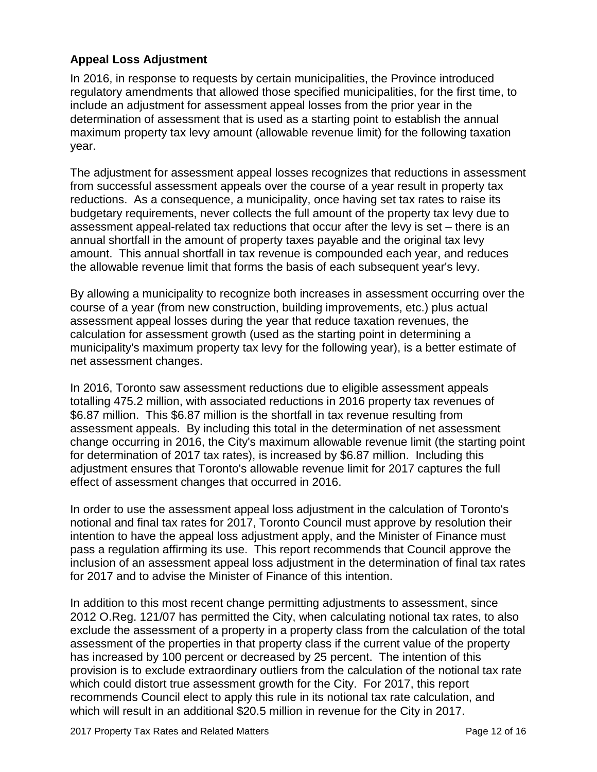## **Appeal Loss Adjustment**

In 2016, in response to requests by certain municipalities, the Province introduced regulatory amendments that allowed those specified municipalities, for the first time, to include an adjustment for assessment appeal losses from the prior year in the determination of assessment that is used as a starting point to establish the annual maximum property tax levy amount (allowable revenue limit) for the following taxation year.

The adjustment for assessment appeal losses recognizes that reductions in assessment from successful assessment appeals over the course of a year result in property tax reductions. As a consequence, a municipality, once having set tax rates to raise its budgetary requirements, never collects the full amount of the property tax levy due to assessment appeal-related tax reductions that occur after the levy is set – there is an annual shortfall in the amount of property taxes payable and the original tax levy amount. This annual shortfall in tax revenue is compounded each year, and reduces the allowable revenue limit that forms the basis of each subsequent year's levy.

By allowing a municipality to recognize both increases in assessment occurring over the course of a year (from new construction, building improvements, etc.) plus actual assessment appeal losses during the year that reduce taxation revenues, the calculation for assessment growth (used as the starting point in determining a municipality's maximum property tax levy for the following year), is a better estimate of net assessment changes.

In 2016, Toronto saw assessment reductions due to eligible assessment appeals totalling 475.2 million, with associated reductions in 2016 property tax revenues of \$6.87 million. This \$6.87 million is the shortfall in tax revenue resulting from assessment appeals. By including this total in the determination of net assessment change occurring in 2016, the City's maximum allowable revenue limit (the starting point for determination of 2017 tax rates), is increased by \$6.87 million. Including this adjustment ensures that Toronto's allowable revenue limit for 2017 captures the full effect of assessment changes that occurred in 2016.

In order to use the assessment appeal loss adjustment in the calculation of Toronto's notional and final tax rates for 2017, Toronto Council must approve by resolution their intention to have the appeal loss adjustment apply, and the Minister of Finance must pass a regulation affirming its use. This report recommends that Council approve the inclusion of an assessment appeal loss adjustment in the determination of final tax rates for 2017 and to advise the Minister of Finance of this intention.

In addition to this most recent change permitting adjustments to assessment, since 2012 O.Reg. 121/07 has permitted the City, when calculating notional tax rates, to also exclude the assessment of a property in a property class from the calculation of the total assessment of the properties in that property class if the current value of the property has increased by 100 percent or decreased by 25 percent. The intention of this provision is to exclude extraordinary outliers from the calculation of the notional tax rate which could distort true assessment growth for the City. For 2017, this report recommends Council elect to apply this rule in its notional tax rate calculation, and which will result in an additional \$20.5 million in revenue for the City in 2017.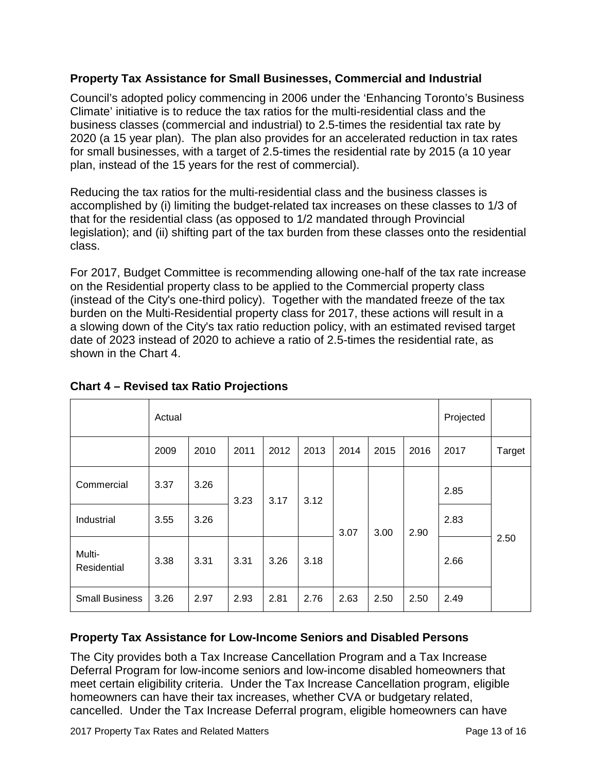## **Property Tax Assistance for Small Businesses, Commercial and Industrial**

Council's adopted policy commencing in 2006 under the 'Enhancing Toronto's Business Climate' initiative is to reduce the tax ratios for the multi-residential class and the business classes (commercial and industrial) to 2.5-times the residential tax rate by 2020 (a 15 year plan). The plan also provides for an accelerated reduction in tax rates for small businesses, with a target of 2.5-times the residential rate by 2015 (a 10 year plan, instead of the 15 years for the rest of commercial).

Reducing the tax ratios for the multi-residential class and the business classes is accomplished by (i) limiting the budget-related tax increases on these classes to 1/3 of that for the residential class (as opposed to 1/2 mandated through Provincial legislation); and (ii) shifting part of the tax burden from these classes onto the residential class.

For 2017, Budget Committee is recommending allowing one-half of the tax rate increase on the Residential property class to be applied to the Commercial property class (instead of the City's one-third policy). Together with the mandated freeze of the tax burden on the Multi-Residential property class for 2017, these actions will result in a a slowing down of the City's tax ratio reduction policy, with an estimated revised target date of 2023 instead of 2020 to achieve a ratio of 2.5-times the residential rate, as shown in the Chart 4.

|                       | Actual |      |      |              |      |      |      | Projected |      |        |
|-----------------------|--------|------|------|--------------|------|------|------|-----------|------|--------|
|                       | 2009   | 2010 | 2011 | 2012         | 2013 | 2014 | 2015 | 2016      | 2017 | Target |
| Commercial            | 3.37   | 3.26 | 3.23 | 3.17<br>3.26 | 3.12 | 3.07 | 3.00 | 2.90      | 2.85 | 2.50   |
| Industrial            | 3.55   | 3.26 |      |              |      |      |      |           | 2.83 |        |
| Multi-<br>Residential | 3.38   | 3.31 | 3.31 |              | 3.18 |      |      |           | 2.66 |        |
| <b>Small Business</b> | 3.26   | 2.97 | 2.93 | 2.81         | 2.76 | 2.63 | 2.50 | 2.50      | 2.49 |        |

## **Chart 4 – Revised tax Ratio Projections**

# **Property Tax Assistance for Low-Income Seniors and Disabled Persons**

The City provides both a Tax Increase Cancellation Program and a Tax Increase Deferral Program for low-income seniors and low-income disabled homeowners that meet certain eligibility criteria. Under the Tax Increase Cancellation program, eligible homeowners can have their tax increases, whether CVA or budgetary related, cancelled. Under the Tax Increase Deferral program, eligible homeowners can have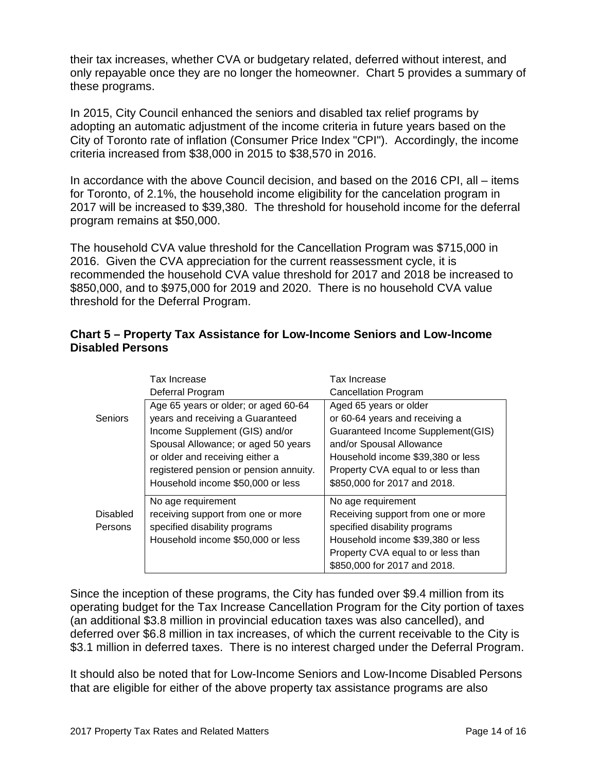their tax increases, whether CVA or budgetary related, deferred without interest, and only repayable once they are no longer the homeowner. Chart 5 provides a summary of these programs.

In 2015, City Council enhanced the seniors and disabled tax relief programs by adopting an automatic adjustment of the income criteria in future years based on the City of Toronto rate of inflation (Consumer Price Index "CPI"). Accordingly, the income criteria increased from \$38,000 in 2015 to \$38,570 in 2016.

In accordance with the above Council decision, and based on the 2016 CPI, all – items for Toronto, of 2.1%, the household income eligibility for the cancelation program in 2017 will be increased to \$39,380. The threshold for household income for the deferral program remains at \$50,000.

The household CVA value threshold for the Cancellation Program was \$715,000 in 2016. Given the CVA appreciation for the current reassessment cycle, it is recommended the household CVA value threshold for 2017 and 2018 be increased to \$850,000, and to \$975,000 for 2019 and 2020. There is no household CVA value threshold for the Deferral Program.

#### **Chart 5 – Property Tax Assistance for Low-Income Seniors and Low-Income Disabled Persons**

|                 | Tax Increase                           | Tax Increase                       |  |  |  |
|-----------------|----------------------------------------|------------------------------------|--|--|--|
|                 | Deferral Program                       | <b>Cancellation Program</b>        |  |  |  |
|                 | Age 65 years or older; or aged 60-64   | Aged 65 years or older             |  |  |  |
| <b>Seniors</b>  | years and receiving a Guaranteed       | or 60-64 years and receiving a     |  |  |  |
|                 | Income Supplement (GIS) and/or         | Guaranteed Income Supplement(GIS)  |  |  |  |
|                 | Spousal Allowance; or aged 50 years    | and/or Spousal Allowance           |  |  |  |
|                 | or older and receiving either a        | Household income \$39,380 or less  |  |  |  |
|                 | registered pension or pension annuity. | Property CVA equal to or less than |  |  |  |
|                 | Household income \$50,000 or less      | \$850,000 for 2017 and 2018.       |  |  |  |
|                 | No age requirement                     | No age requirement                 |  |  |  |
| <b>Disabled</b> | receiving support from one or more     | Receiving support from one or more |  |  |  |
| Persons         | specified disability programs          | specified disability programs      |  |  |  |
|                 | Household income \$50,000 or less      | Household income \$39,380 or less  |  |  |  |
|                 |                                        | Property CVA equal to or less than |  |  |  |
|                 |                                        | \$850,000 for 2017 and 2018.       |  |  |  |

Since the inception of these programs, the City has funded over \$9.4 million from its operating budget for the Tax Increase Cancellation Program for the City portion of taxes (an additional \$3.8 million in provincial education taxes was also cancelled), and deferred over \$6.8 million in tax increases, of which the current receivable to the City is \$3.1 million in deferred taxes. There is no interest charged under the Deferral Program.

It should also be noted that for Low-Income Seniors and Low-Income Disabled Persons that are eligible for either of the above property tax assistance programs are also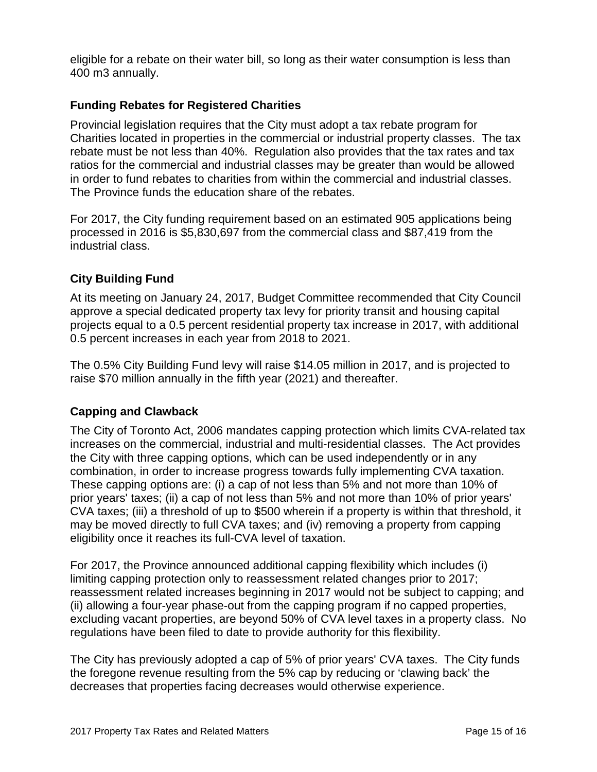eligible for a rebate on their water bill, so long as their water consumption is less than 400 m3 annually.

## **Funding Rebates for Registered Charities**

Provincial legislation requires that the City must adopt a tax rebate program for Charities located in properties in the commercial or industrial property classes. The tax rebate must be not less than 40%. Regulation also provides that the tax rates and tax ratios for the commercial and industrial classes may be greater than would be allowed in order to fund rebates to charities from within the commercial and industrial classes. The Province funds the education share of the rebates.

For 2017, the City funding requirement based on an estimated 905 applications being processed in 2016 is \$5,830,697 from the commercial class and \$87,419 from the industrial class.

## **City Building Fund**

At its meeting on January 24, 2017, Budget Committee recommended that City Council approve a special dedicated property tax levy for priority transit and housing capital projects equal to a 0.5 percent residential property tax increase in 2017, with additional 0.5 percent increases in each year from 2018 to 2021.

The 0.5% City Building Fund levy will raise \$14.05 million in 2017, and is projected to raise \$70 million annually in the fifth year (2021) and thereafter.

#### **Capping and Clawback**

The City of Toronto Act, 2006 mandates capping protection which limits CVA-related tax increases on the commercial, industrial and multi-residential classes. The Act provides the City with three capping options, which can be used independently or in any combination, in order to increase progress towards fully implementing CVA taxation. These capping options are: (i) a cap of not less than 5% and not more than 10% of prior years' taxes; (ii) a cap of not less than 5% and not more than 10% of prior years' CVA taxes; (iii) a threshold of up to \$500 wherein if a property is within that threshold, it may be moved directly to full CVA taxes; and (iv) removing a property from capping eligibility once it reaches its full-CVA level of taxation.

For 2017, the Province announced additional capping flexibility which includes (i) limiting capping protection only to reassessment related changes prior to 2017; reassessment related increases beginning in 2017 would not be subject to capping; and (ii) allowing a four-year phase-out from the capping program if no capped properties, excluding vacant properties, are beyond 50% of CVA level taxes in a property class. No regulations have been filed to date to provide authority for this flexibility.

The City has previously adopted a cap of 5% of prior years' CVA taxes. The City funds the foregone revenue resulting from the 5% cap by reducing or 'clawing back' the decreases that properties facing decreases would otherwise experience.